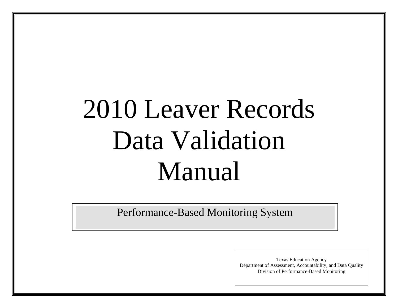# 2010 Leaver Records Data Validation Manual

Performance-Based Monitoring System

Texas Education Agency Department of Assessment, Accountability, and Data Quality Division of Performance-Based Monitoring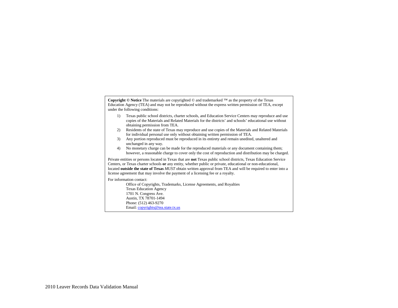**Copyright © Notice** The materials are copyrighted © and trademarked ™ as the property of the Texas Education Agency (TEA) and may not be reproduced without the express written permission of TEA, except under the following conditions:

- 1) Texas public school districts, charter schools, and Education Service Centers may reproduce and use copies of the Materials and Related Materials for the districts' and schools' educational use without obtaining permission from TEA.
- 2) Residents of the state of Texas may reproduce and use copies of the Materials and Related Materials for individual personal use only without obtaining written permission of TEA.
- 3) Any portion reproduced must be reproduced in its entirety and remain unedited, unaltered and unchanged in any way.
- 4) No monetary charge can be made for the reproduced materials or any document containing them; however, a reasonable charge to cover only the cost of reproduction and distribution may be charged.

Private entities or persons located in Texas that are **not** Texas public school districts, Texas Education Service Centers, or Texas charter schools **or** any entity, whether public or private, educational or non-educational, located **outside the state of Texas** *MUST* obtain written approval from TEA and will be required to enter into a license agreement that may involve the payment of a licensing fee or a royalty.

For information contact:

Office of Copyrights, Trademarks, License Agreements, and Royalties Texas Education Agency 1701 N. Congress Ave. Austin, TX 78701-1494 Phone: (512) 463-9270 Email[: copyrights@tea.state.tx.us](mailto:copyrights@tea.state.tx.us)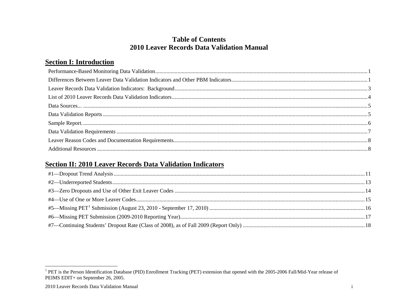#### <span id="page-2-0"></span>**Table of Contents** 2010 Leaver Records Data Validation Manual

## **Section I: Introduction**

## **Section II: 2010 Leaver Records Data Validation Indicators**

<sup>&</sup>lt;sup>1</sup> PET is the Person Identification Database (PID) Enrollment Tracking (PET) extension that opened with the 2005-2006 Fall/Mid-Year release of PEIMS EDIT+ on September 26, 2005.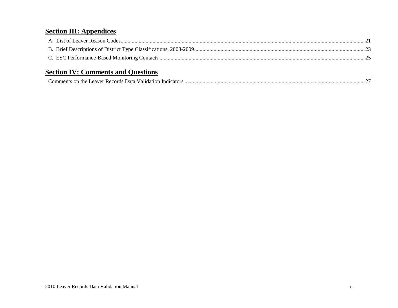## **Section III: Appendices**

## **Section IV: Comments and Questions**

| Comments on the Leaver Records Data Validation Indicators |
|-----------------------------------------------------------|
|-----------------------------------------------------------|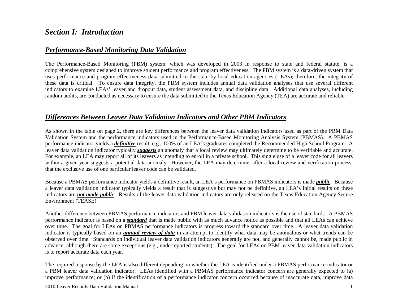## *Section I: Introduction*

#### *Performance-Based Monitoring Data Validation*

The Performance-Based Monitoring (PBM) system, which was developed in 2003 in response to state and federal statute, is a comprehensive system designed to improve student performance and program effectiveness. The PBM system is a data-driven system that uses performance and program effectiveness data submitted to the state by local education agencies (LEAs); therefore, the integrity of these data is critical. To ensure data integrity, the PBM system includes annual data validation analyses that use several different indicators to examine LEAs' leaver and dropout data, student assessment data, and discipline data. Additional data analyses, including random audits, are conducted as necessary to ensure the data submitted to the Texas Education Agency (TEA) are accurate and reliable.

#### *Differences Between Leaver Data Validation Indicators and Other PBM Indicators*

As shown in the table on page 2, there are key differences between the leaver data validation indicators used as part of the PBM Data Validation System and the performance indicators used in the Performance-Based Monitoring Analysis System (PBMAS). A PBMAS performance indicator yields a *definitive* result, e.g., 100% of an LEA's graduates completed the Recommended High School Program. A leaver data validation indicator typically *suggests* an anomaly that a local review may ultimately determine to be verifiable and accurate. For example, an LEA may report all of its leavers as intending to enroll in a private school. This single use of a leaver code for all leavers within a given year suggests a potential data anomaly. However, the LEA may determine, after a local review and verification process, that the exclusive use of one particular leaver code can be validated.

Because a PBMAS performance indicator yields a definitive result, an LEA's performance on PBMAS indicators is made *public*. Because a leaver data validation indicator typically yields a result that is suggestive but may not be definitive, an LEA's initial results on these indicators are *not made public*. Results of the leaver data validation indicators are only released on the Texas Education Agency Secure Environment (TEASE).

Another difference between PBMAS performance indicators and PBM leaver data validation indicators is the use of standards. A PBMAS performance indicator is based on a *standard* that is made public with as much advance notice as possible and that all LEAs can achieve over time. The goal for LEAs on PBMAS performance indicators is progress toward the standard over time. A leaver data validation indicator is typically based on an *annual review of data* in an attempt to identify what data may be anomalous or what trends can be observed over time. Standards on individual leaver data validation indicators generally are not, and generally cannot be, made public in advance, although there are some exceptions (e.g., underreported students). The goal for LEAs on PBM leaver data validation indicators is to report accurate data each year.

The required response by the LEA is also different depending on whether the LEA is identified under a PBMAS performance indicator or a PBM leaver data validation indicator. LEAs identified with a PBMAS performance indicator concern are generally expected to (a) improve performance; or (b) if the identification of a performance indicator concern occurred because of inaccurate data, improve data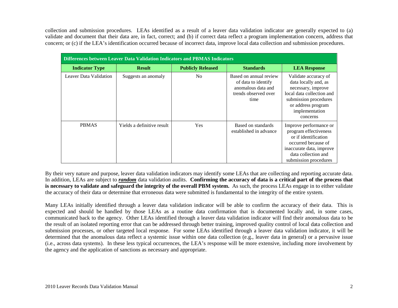collection and submission procedures. LEAs identified as a result of a leaver data validation indicator are generally expected to (a) validate and document that their data are, in fact, correct; and (b) if correct data reflect a program implementation concern, address that concern; or (c) if the LEA's identification occurred because of incorrect data, improve local data collection and submission procedures.

| Differences between Leaver Data Validation Indicators and PBMAS Indicators |                            |                          |                                                                                                     |                                                                                                                                                                              |
|----------------------------------------------------------------------------|----------------------------|--------------------------|-----------------------------------------------------------------------------------------------------|------------------------------------------------------------------------------------------------------------------------------------------------------------------------------|
| <b>Indicator Type</b>                                                      | <b>Result</b>              | <b>Publicly Released</b> | <b>Standards</b>                                                                                    | <b>LEA Response</b>                                                                                                                                                          |
| Leaver Data Validation                                                     | Suggests an anomaly        | N <sub>0</sub>           | Based on annual review<br>of data to identify<br>anomalous data and<br>trends observed over<br>time | Validate accuracy of<br>data locally and, as<br>necessary, improve<br>local data collection and<br>submission procedures<br>or address program<br>implementation<br>concerns |
| <b>PBMAS</b>                                                               | Yields a definitive result | <b>Yes</b>               | Based on standards<br>established in advance                                                        | Improve performance or<br>program effectiveness<br>or if identification<br>occurred because of<br>inaccurate data, improve<br>data collection and<br>submission procedures   |

By their very nature and purpose, leaver data validation indicators may identify some LEAs that are collecting and reporting accurate data. In addition, LEAs are subject to *random* data validation audits. **Confirming the accuracy of data is a critical part of the process that is necessary to validate and safeguard the integrity of the overall PBM system.** As such, the process LEAs engage in to either validate the accuracy of their data or determine that erroneous data were submitted is fundamental to the integrity of the entire system.

Many LEAs initially identified through a leaver data validation indicator will be able to confirm the accuracy of their data. This is expected and should be handled by those LEAs as a routine data confirmation that is documented locally and, in some cases, communicated back to the agency. Other LEAs identified through a leaver data validation indicator will find their anomalous data to be the result of an isolated reporting error that can be addressed through better training, improved quality control of local data collection and submission processes, or other targeted local response. For some LEAs identified through a leaver data validation indicator, it will be determined that the anomalous data reflect a systemic issue within one data collection (e.g., leaver data in general) or a pervasive issue (i.e., across data systems). In these less typical occurrences, the LEA's response will be more extensive, including more involvement by the agency and the application of sanctions as necessary and appropriate.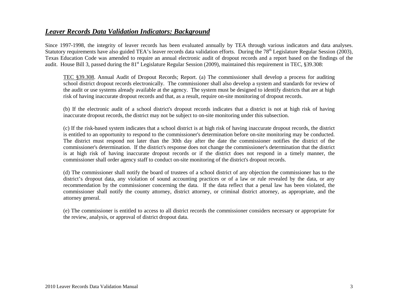#### *Leaver Records Data Validation Indicators: Background*

Since 1997-1998, the integrity of leaver records has been evaluated annually by TEA through various indicators and data analyses. Statutory requirements have also guided TEA's leaver records data validation efforts. During the 78<sup>th</sup> Legislature Regular Session (2003), Texas Education Code was amended to require an annual electronic audit of dropout records and a report based on the findings of the audit. House Bill 3, passed during the 81<sup>st</sup> Legislature Regular Session (2009), maintained this requirement in TEC, §39.308:

TEC §39.308. Annual Audit of Dropout Records; Report. (a) The commissioner shall develop a process for auditing school district dropout records electronically. The commissioner shall also develop a system and standards for review of the audit or use systems already available at the agency. The system must be designed to identify districts that are at high risk of having inaccurate dropout records and that, as a result, require on-site monitoring of dropout records.

(b) If the electronic audit of a school district's dropout records indicates that a district is not at high risk of having inaccurate dropout records, the district may not be subject to on-site monitoring under this subsection.

(c) If the risk-based system indicates that a school district is at high risk of having inaccurate dropout records, the district is entitled to an opportunity to respond to the commissioner's determination before on-site monitoring may be conducted. The district must respond not later than the 30th day after the date the commissioner notifies the district of the commissioner's determination. If the district's response does not change the commissioner's determination that the district is at high risk of having inaccurate dropout records or if the district does not respond in a timely manner, the commissioner shall order agency staff to conduct on-site monitoring of the district's dropout records.

(d) The commissioner shall notify the board of trustees of a school district of any objection the commissioner has to the district's dropout data, any violation of sound accounting practices or of a law or rule revealed by the data, or any recommendation by the commissioner concerning the data. If the data reflect that a penal law has been violated, the commissioner shall notify the county attorney, district attorney, or criminal district attorney, as appropriate, and the attorney general.

(e) The commissioner is entitled to access to all district records the commissioner considers necessary or appropriate for the review, analysis, or approval of district dropout data.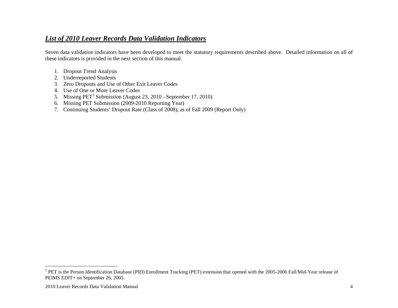## <span id="page-7-0"></span>*List of 2010 Leaver Records Data Validation Indicators*

Seven data validation indicators have been developed to meet the statutory requirements described above. Detailed information on all of these indicators is provided in the next section of this manual.

- 1. Dropout Trend Analysis
- 2. Underreported Students
- 3. Zero Dropouts and Use of Other Exit Leaver Codes
- 4. Use of One or More Leaver Codes
- 5. Missing  $PET^2$  $PET^2$  Submission (August 23, 2010 September 17, 2010)
- 6. Missing PET Submission (2009-2010 Reporting Year)
- 7. Continuing Students' Dropout Rate (Class of 2008), as of Fall 2009 (Report Only)

 $^{2}$  PET is the Person Identification Database (PID) Enrollment Tracking (PET) extension that opened with the 2005-2006 Fall/Mid-Year release of PEIMS EDIT+ on September 26, 2005.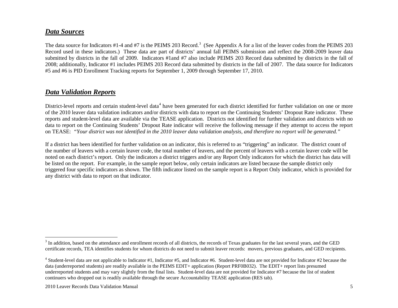#### <span id="page-8-1"></span><span id="page-8-0"></span>*Data Sources*

The data source for Indicators #1-4 and #7 is the PEIMS 20[3](#page-8-0) Record.<sup>3</sup> (See Appendix A for a list of the leaver codes from the PEIMS 203 Record used in these indicators.) These data are part of districts' annual fall PEIMS submission and reflect the 2008-2009 leaver data submitted by districts in the fall of 2009. Indicators #1and #7 also include PEIMS 203 Record data submitted by districts in the fall of 2008; additionally, Indicator #1 includes PEIMS 203 Record data submitted by districts in the fall of 2007. The data source for Indicators #5 and #6 is PID Enrollment Tracking reports for September 1, 2009 through September 17, 2010.

## *Data Validation Reports*

District-level reports and certain student-level data<sup>[4](#page-8-1)</sup> have been generated for each district identified for further validation on one or more of the 2010 leaver data validation indicators and/or districts with data to report on the Continuing Students' Dropout Rate indicator. These reports and student-level data are available via the TEASE application. Districts not identified for further validation and districts with no data to report on the Continuing Students' Dropout Rate indicator will receive the following message if they attempt to access the report on TEASE: *"Your district was not identified in the 2010 leaver data validation analysis, and therefore no report will be generated."*

If a district has been identified for further validation on an indicator, this is referred to as "triggering" an indicator. The district count of the number of leavers with a certain leaver code, the total number of leavers, and the percent of leavers with a certain leaver code will be noted on each district's report. Only the indicators a district triggers and/or any Report Only indicators for which the district has data will be listed on the report. For example, in the sample report below, only certain indicators are listed because the sample district only triggered four specific indicators as shown. The fifth indicator listed on the sample report is a Report Only indicator, which is provided for any district with data to report on that indicator.

<sup>&</sup>lt;sup>3</sup> In addition, based on the attendance and enrollment records of all districts, the records of Texas graduates for the last several years, and the GED certificate records, TEA identifies students for whom districts do not need to submit leaver records: movers, previous graduates, and GED recipients.

<sup>4</sup> Student-level data are not applicable to Indicator #1, Indicator #5, and Indicator #6. Student-level data are not provided for Indicator #2 because the data (underreported students) are readily available in the PEIMS EDIT+ application (Report PRF0B032). The EDIT+ report lists presumed underreported students and may vary slightly from the final lists. Student-level data are not provided for Indicator #7 because the list of student continuers who dropped out is readily available through the secure Accountability TEASE application (RES tab).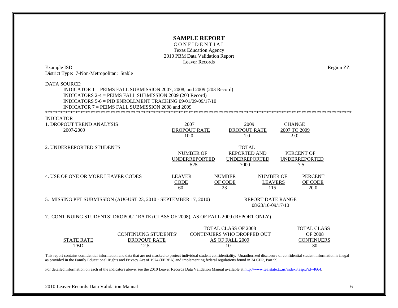#### **SAMPLE REPORT**

C O N F I D E N T I A L Texas Education Agency 2010 PBM Data Validation Report Leaver Records

Example ISD Region ZZ District Type: 7-Non-Metropolitan: Stable

#### DATA SOURCE:

INDICATOR 1 = PEIMS FALL SUBMISSION 2007, 2008, and 2009 (203 Record) INDICATORS 2-4 = PEIMS FALL SUBMISSION 2009 (203 Record) INDICATORS 5-6 = PID ENROLLMENT TRACKING 09/01/09-09/17/10 INDICATOR 7 = PEIMS FALL SUBMISSION 2008 and 2009 \*\*\*\*\*\*\*\*\*\*\*\*\*\*\*\*\*\*\*\*\*\*\*\*\*\*\*\*\*\*\*\*\*\*\*\*\*\*\*\*\*\*\*\*\*\*\*\*\*\*\*\*\*\*\*\*\*\*\*\*\*\*\*\*\*\*\*\*\*\*\*\*\*\*\*\*\*\*\*\*\*\*\*\*\*\*\*\*\*\*\*\*\*\*\*\*\*\*\*\*\*\*\*\*\*\*\*\*\*\*\*\*\*\*\*\*\*\*\*\*\*\*

#### INDICATOR

| 1. DROPOUT TREND ANALYSIS<br>2007-2009                           | 2007<br><b>DROPOUT RATE</b><br>10.0 | 2009<br><b>DROPOUT RATE</b><br>1.0                          | <b>CHANGE</b><br>2007 TO 2009<br>$-9.0$       |                                   |
|------------------------------------------------------------------|-------------------------------------|-------------------------------------------------------------|-----------------------------------------------|-----------------------------------|
| 2. UNDERREPORTED STUDENTS                                        | NUMBER OF<br><b>UNDERREPORTED</b>   | <b>TOTAL</b><br><b>REPORTED AND</b><br><b>UNDERREPORTED</b> |                                               | PERCENT OF<br>UNDERREPORTED       |
|                                                                  | 525                                 | 7000                                                        |                                               | 7.5                               |
| 4. USE OF ONE OR MORE LEAVER CODES                               | <b>LEAVER</b><br><b>CODE</b><br>60  | <b>NUMBER</b><br>OF CODE<br>23                              | <b>NUMBER OF</b><br><b>LEAVERS</b><br>115     | <b>PERCENT</b><br>OF CODE<br>20.0 |
| 5. MISSING PET SUBMISSION (AUGUST 23, 2010 - SEPTEMBER 17, 2010) |                                     |                                                             | <b>REPORT DATE RANGE</b><br>08/23/10-09/17/10 |                                   |

#### 7. CONTINUING STUDENTS' DROPOUT RATE (CLASS OF 2008), AS OF FALL 2009 (REPORT ONLY)

|                   |                      | <b>TOTAL CLASS OF 2008</b> | <b>TOTAL CLASS</b> |
|-------------------|----------------------|----------------------------|--------------------|
|                   | CONTINUING STUDENTS' | CONTINUERS WHO DROPPED OUT | OF 2008            |
| <b>STATE RATE</b> | DROPOUT RATE         | AS OF FALL 2009            | CONTINUERS         |
| <b>TBD</b>        |                      | 10                         | 80                 |

This report contains confidential information and data that are not masked to protect individual student confidentiality. Unauthorized disclosure of confidential student information is illegal as provided in the Family Educational Rights and Privacy Act of 1974 (FERPA) and implementing federal regulations found in 34 CFR, Part 99.

For detailed information on each of the indicators above, see the 2010 Leaver Records Data Validation Manual available a[t http://www.tea.state.tx.us/index3.aspx?id=4664.](http://www.tea.state.tx.us/index3.aspx?id=4664)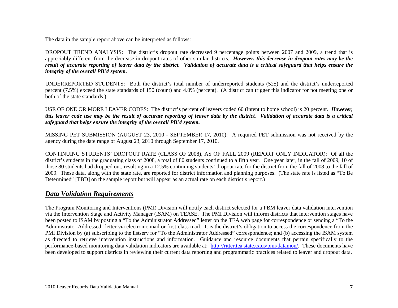The data in the sample report above can be interpreted as follows:

DROPOUT TREND ANALYSIS: The district's dropout rate decreased 9 percentage points between 2007 and 2009, a trend that is appreciably different from the decrease in dropout rates of other similar districts. *However, this decrease in dropout rates may be the result of accurate reporting of leaver data by the district. Validation of accurate data is a critical safeguard that helps ensure the integrity of the overall PBM system.*

UNDERREPORTED STUDENTS: Both the district's total number of underreported students (525) and the district's underreported percent (7.5%) exceed the state standards of 150 (count) and 4.0% (percent). (A district can trigger this indicator for not meeting one or both of the state standards.)

USE OF ONE OR MORE LEAVER CODES: The district's percent of leavers coded 60 (intent to home school) is 20 percent. *However, this leaver code use may be the result of accurate reporting of leaver data by the district. Validation of accurate data is a critical safeguard that helps ensure the integrity of the overall PBM system.*

MISSING PET SUBMISSION (AUGUST 23, 2010 - SEPTEMBER 17, 2010): A required PET submission was not received by the agency during the date range of August 23, 2010 through September 17, 2010.

CONTINUING STUDENTS' DROPOUT RATE (CLASS OF 2008), AS OF FALL 2009 (REPORT ONLY INDICATOR): Of all the district's students in the graduating class of 2008, a total of 80 students continued to a fifth year. One year later, in the fall of 2009, 10 of those 80 students had dropped out, resulting in a 12.5% continuing students' dropout rate for the district from the fall of 2008 to the fall of 2009. These data, along with the state rate, are reported for district information and planning purposes. (The state rate is listed as "To Be Determined" [TBD] on the sample report but will appear as an actual rate on each district's report.)

#### *Data Validation Requirements*

The Program Monitoring and Interventions (PMI) Division will notify each district selected for a PBM leaver data validation intervention via the Intervention Stage and Activity Manager (ISAM) on TEASE. The PMI Division will inform districts that intervention stages have been posted to ISAM by posting a "To the Administrator Addressed" letter on the TEA web page for correspondence or sending a "To the Administrator Addressed" letter via electronic mail or first-class mail. It is the district's obligation to access the correspondence from the PMI Division by (a) subscribing to the listserv for "To the Administrator Addressed" correspondence; and (b) accessing the ISAM system as directed to retrieve intervention instructions and information. Guidance and resource documents that pertain specifically to the performance-based monitoring data validation indicators are available at: [http://ritter.tea.state.tx.us/pmi/datamon/.](http://ritter.tea.state.tx.us/pmi/datamon/) These documents have been developed to support districts in reviewing their current data reporting and programmatic practices related to leaver and dropout data.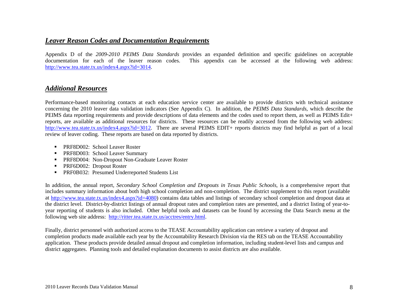#### *Leaver Reason Codes and Documentation Requirements*

Appendix D of the *2009-2010 PEIMS Data Standards* provides an expanded definition and specific guidelines on acceptable documentation for each of the leaver reason codes. This appendix can be accessed at the following web address: [http://www.tea.state.tx.us/index4.aspx?id=3014.](http://www.tea.state.tx.us/index4.aspx?id=3014)

#### *Additional Resources*

Performance-based monitoring contacts at each education service center are available to provide districts with technical assistance concerning the 2010 leaver data validation indicators (See Appendix C). In addition, the *PEIMS Data Standards*, which describe the PEIMS data reporting requirements and provide descriptions of data elements and the codes used to report them, as well as PEIMS Edit+ reports, are available as additional resources for districts. These resources can be readily accessed from the following web address: [http://www.tea.state.tx.us/index4.aspx?id=3012.](http://www.tea.state.tx.us/index4.aspx?id=3012) There are several PEIMS EDIT+ reports districts may find helpful as part of a local review of leaver coding. These reports are based on data reported by districts.

- **PRF8D002: School Leaver Roster**
- **PRF8D003: School Leaver Summary**
- **PRF8D004: Non-Dropout Non-Graduate Leaver Roster**
- **PRF6D002: Dropout Roster**
- **PRF0B032: Presumed Underreported Students List**

In addition, the annual report, *Secondary School Completion and Dropouts in Texas Public Schools,* is a comprehensive report that includes summary information about both high school completion and non-completion. The district supplement to this report (available at [http://www.tea.state.tx.us/index4.aspx?id=4080\)](http://www.tea.state.tx.us/index4.aspx?id=4080) contains data tables and listings of secondary school completion and dropout data at the district level. District-by-district listings of annual dropout rates and completion rates are presented, and a district listing of year-toyear reporting of students is also included. Other helpful tools and datasets can be found by accessing the Data Search menu at the following web site address: [http://ritter.tea.state.tx.us/acctres/entry.html.](http://ritter.tea.state.tx.us/acctres/entry.html)

Finally, district personnel with authorized access to the TEASE Accountability application can retrieve a variety of dropout and completion products made available each year by the Accountability Research Division via the RES tab on the TEASE Accountability application. These products provide detailed annual dropout and completion information, including student-level lists and campus and district aggregates. Planning tools and detailed explanation documents to assist districts are also available.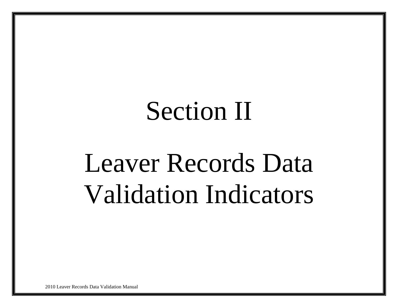## Section II

# Leaver Records Data Validation Indicators

2010 Leaver Records Data Validation Manual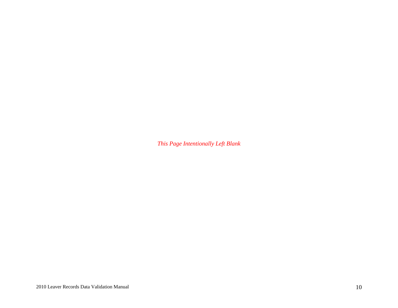*This Page Intentionally Left Blank*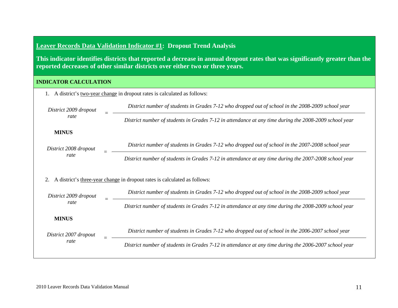#### **Leaver Records Data Validation Indicator #1: Dropout Trend Analysis**

**This indicator identifies districts that reported a decrease in annual dropout rates that was significantly greater than the reported decreases of other similar districts over either two or three years.**

#### **INDICATOR CALCULATION**

| A district's two-year change in dropout rates is calculated as follows: |                                                                                                       |  |  |
|-------------------------------------------------------------------------|-------------------------------------------------------------------------------------------------------|--|--|
| District 2009 dropout                                                   | District number of students in Grades 7-12 who dropped out of school in the 2008-2009 school year     |  |  |
| rate                                                                    | District number of students in Grades 7-12 in attendance at any time during the 2008-2009 school year |  |  |
| <b>MINUS</b>                                                            |                                                                                                       |  |  |
| District 2008 dropout                                                   | District number of students in Grades 7-12 who dropped out of school in the 2007-2008 school year     |  |  |
| rate                                                                    | District number of students in Grades 7-12 in attendance at any time during the 2007-2008 school year |  |  |
|                                                                         | A district's three-year change in dropout rates is calculated as follows:                             |  |  |
| District 2009 dropout                                                   | District number of students in Grades 7-12 who dropped out of school in the 2008-2009 school year     |  |  |
| rate                                                                    | District number of students in Grades 7-12 in attendance at any time during the 2008-2009 school year |  |  |
| <b>MINUS</b>                                                            |                                                                                                       |  |  |
| District 2007 dropout                                                   | District number of students in Grades 7-12 who dropped out of school in the 2006-2007 school year     |  |  |
| rate                                                                    | District number of students in Grades 7-12 in attendance at any time during the 2006-2007 school year |  |  |
|                                                                         |                                                                                                       |  |  |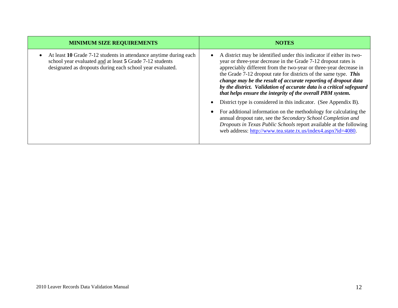| <b>MINIMUM SIZE REQUIREMENTS</b>                                                                                                                                                           | <b>NOTES</b>                                                                                                                                                                                                                                                                                                                                                                                                                                                                            |
|--------------------------------------------------------------------------------------------------------------------------------------------------------------------------------------------|-----------------------------------------------------------------------------------------------------------------------------------------------------------------------------------------------------------------------------------------------------------------------------------------------------------------------------------------------------------------------------------------------------------------------------------------------------------------------------------------|
| At least 10 Grade 7-12 students in attendance anytime during each<br>school year evaluated and at least 5 Grade 7-12 students<br>designated as dropouts during each school year evaluated. | A district may be identified under this indicator if either its two-<br>year or three-year decrease in the Grade 7-12 dropout rates is<br>appreciably different from the two-year or three-year decrease in<br>the Grade 7-12 dropout rate for districts of the same type. This<br>change may be the result of accurate reporting of dropout data<br>by the district. Validation of accurate data is a critical safeguard<br>that helps ensure the integrity of the overall PBM system. |
|                                                                                                                                                                                            | District type is considered in this indicator. (See Appendix B).                                                                                                                                                                                                                                                                                                                                                                                                                        |
|                                                                                                                                                                                            | For additional information on the methodology for calculating the<br>annual dropout rate, see the Secondary School Completion and<br>Dropouts in Texas Public Schools report available at the following<br>web address: http://www.tea.state.tx.us/index4.aspx?id=4080.                                                                                                                                                                                                                 |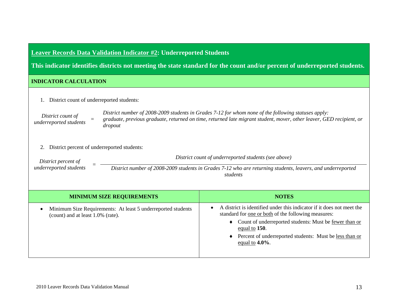## **Leaver Records Data Validation Indicator #2: Underreported Students**

**This indicator identifies districts not meeting the state standard for the count and/or percent of underreported students.**

#### **INDICATOR CALCULATION**

1. District count of underreported students:

*District count of underreported students* <sup>=</sup> *District number of 2008-2009 students in Grades 7-12 for whom none of the following statuses apply: graduate, previous graduate, returned on time, returned late migrant student, mover, other leaver, GED recipient, or dropout*

2. District percent of underreported students:

| District percent of    | District count of underreported students (see above)                                                                    |
|------------------------|-------------------------------------------------------------------------------------------------------------------------|
| underreported students | District number of 2008-2009 students in Grades 7-12 who are returning students, leavers, and underreported<br>students |

| <b>MINIMUM SIZE REQUIREMENTS</b>                                                                               | <b>NOTES</b>                                                                                                                                                                                                                                                                                    |
|----------------------------------------------------------------------------------------------------------------|-------------------------------------------------------------------------------------------------------------------------------------------------------------------------------------------------------------------------------------------------------------------------------------------------|
| Minimum Size Requirements: At least 5 underreported students<br>$\bullet$<br>(count) and at least 1.0% (rate). | A district is identified under this indicator if it does not meet the<br>standard for <u>one or both</u> of the following measures:<br>Count of underreported students: Must be fewer than or<br>equal to 150.<br>Percent of underreported students: Must be less than or<br>equal to $4.0\%$ . |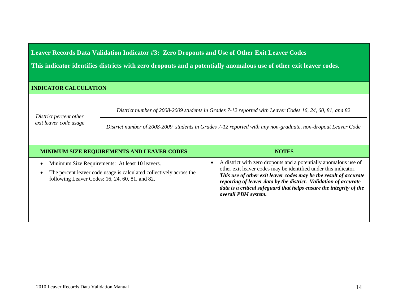**Leaver Records Data Validation Indicator #3: Zero Dropouts and Use of Other Exit Leaver Codes**

**This indicator identifies districts with zero dropouts and a potentially anomalous use of other exit leaver codes.**

#### **INDICATOR CALCULATION**

*District number of 2008-2009 students in Grades 7-12 reported with Leaver Codes 16, 24, 60, 81, and 82*

*District percent other exit leaver code usage* <sup>=</sup>

*District number of 2008-2009 students in Grades 7-12 reported with any non-graduate, non-dropout Leaver Code*

| <b>MINIMUM SIZE REQUIREMENTS AND LEAVER CODES</b>                                                                                                                         | <b>NOTES</b>                                                                                                                                                                                                                                                                                                                                                               |
|---------------------------------------------------------------------------------------------------------------------------------------------------------------------------|----------------------------------------------------------------------------------------------------------------------------------------------------------------------------------------------------------------------------------------------------------------------------------------------------------------------------------------------------------------------------|
| Minimum Size Requirements: At least 10 leavers.<br>The percent leaver code usage is calculated collectively across the<br>following Leaver Codes: 16, 24, 60, 81, and 82. | A district with zero dropouts and a potentially anomalous use of<br>other exit leaver codes may be identified under this indicator.<br>This use of other exit leaver codes may be the result of accurate<br>reporting of leaver data by the district. Validation of accurate<br>data is a critical safeguard that helps ensure the integrity of the<br>overall PBM system. |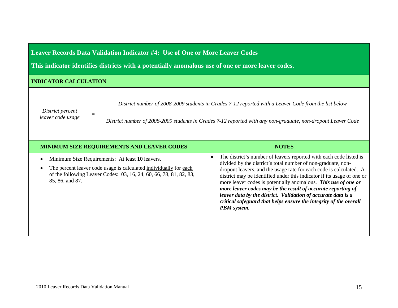**Leaver Records Data Validation Indicator #4: Use of One or More Leaver Codes**

**This indicator identifies districts with a potentially anomalous use of one or more leaver codes.**

#### **INDICATOR CALCULATION**

*District number of 2008-2009 students in Grades 7-12 reported with a Leaver Code from the list below*

*District percent leaver code usage* <sup>=</sup>

*District number of 2008-2009 students in Grades 7-12 reported with any non-graduate, non-dropout Leaver Code*

| <b>MINIMUM SIZE REQUIREMENTS AND LEAVER CODES</b>                                                                                                                                                             | <b>NOTES</b>                                                                                                                                                                                                                                                                                                                                                                                                                                                                                                                                                                     |
|---------------------------------------------------------------------------------------------------------------------------------------------------------------------------------------------------------------|----------------------------------------------------------------------------------------------------------------------------------------------------------------------------------------------------------------------------------------------------------------------------------------------------------------------------------------------------------------------------------------------------------------------------------------------------------------------------------------------------------------------------------------------------------------------------------|
| Minimum Size Requirements: At least 10 leavers.<br>The percent leaver code usage is calculated individually for each<br>of the following Leaver Codes: 03, 16, 24, 60, 66, 78, 81, 82, 83,<br>85, 86, and 87. | The district's number of leavers reported with each code listed is<br>divided by the district's total number of non-graduate, non-<br>dropout leavers, and the usage rate for each code is calculated. A<br>district may be identified under this indicator if its usage of one or<br>more leaver codes is potentially anomalous. This use of one or<br>more leaver codes may be the result of accurate reporting of<br>leaver data by the district. Validation of accurate data is a<br>critical safeguard that helps ensure the integrity of the overall<br><b>PBM</b> system. |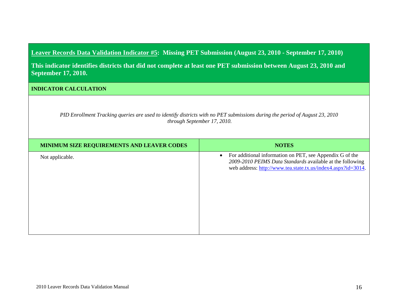**Leaver Records Data Validation Indicator #5: Missing PET Submission (August 23, 2010 - September 17, 2010)** 

**This indicator identifies districts that did not complete at least one PET submission between August 23, 2010 and September 17, 2010.** 

#### **INDICATOR CALCULATION**

*PID Enrollment Tracking queries are used to identify districts with no PET submissions during the period of August 23, 2010 through September 17, 2010.*

| MINIMUM SIZE REQUIREMENTS AND LEAVER CODES | <b>NOTES</b>                                                                                                                                                                          |
|--------------------------------------------|---------------------------------------------------------------------------------------------------------------------------------------------------------------------------------------|
| Not applicable.                            | For additional information on PET, see Appendix G of the<br>2009-2010 PEIMS Data Standards available at the following<br>web address: http://www.tea.state.tx.us/index4.aspx?id=3014. |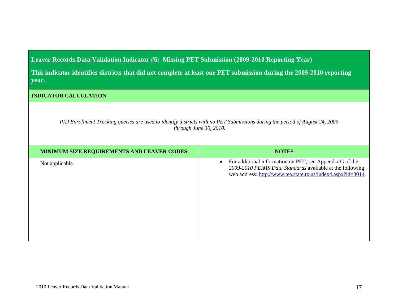**Leaver Records Data Validation Indicator #6: Missing PET Submission (2009-2010 Reporting Year)**

**This indicator identifies districts that did not complete at least one PET submission during the 2009-2010 reporting year.**

#### **INDICATOR CALCULATION**

*PID Enrollment Tracking queries are used to identify districts with no PET Submissions during the period of August 24, 2009 through June 30, 2010.*

| MINIMUM SIZE REQUIREMENTS AND LEAVER CODES | <b>NOTES</b>                                                                                                                                                                          |
|--------------------------------------------|---------------------------------------------------------------------------------------------------------------------------------------------------------------------------------------|
| Not applicable.                            | For additional information on PET, see Appendix G of the<br>2009-2010 PEIMS Data Standards available at the following<br>web address: http://www.tea.state.tx.us/index4.aspx?id=3014. |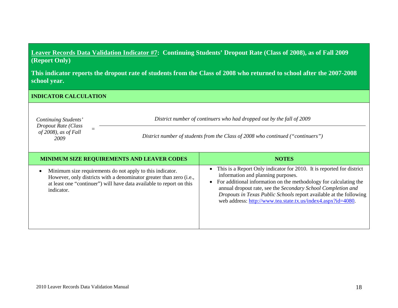**Leaver Records Data Validation Indicator #7: Continuing Students' Dropout Rate (Class of 2008), as of Fall 2009 (Report Only)**

**This indicator reports the dropout rate of students from the Class of 2008 who returned to school after the 2007-2008 school year.**

#### **INDICATOR CALCULATION**

=

*Continuing Students' Dropout Rate (Class of 2008), as of Fall 2009*

*District number of continuers who had dropped out by the fall of 2009*

*District number of students from the Class of 2008 who continued ("continuers")*

| <b>MINIMUM SIZE REQUIREMENTS AND LEAVER CODES</b>                                                                                                                                                                                   | <b>NOTES</b>                                                                                                                                                                                                                                                                                                                                                                               |
|-------------------------------------------------------------------------------------------------------------------------------------------------------------------------------------------------------------------------------------|--------------------------------------------------------------------------------------------------------------------------------------------------------------------------------------------------------------------------------------------------------------------------------------------------------------------------------------------------------------------------------------------|
| Minimum size requirements do not apply to this indicator.<br>$\bullet$<br>However, only districts with a denominator greater than zero (i.e.,<br>at least one "continuer") will have data available to report on this<br>indicator. | • This is a Report Only indicator for 2010. It is reported for district<br>information and planning purposes.<br>• For additional information on the methodology for calculating the<br>annual dropout rate, see the Secondary School Completion and<br>Dropouts in Texas Public Schools report available at the following<br>web address: http://www.tea.state.tx.us/index4.aspx?id=4080. |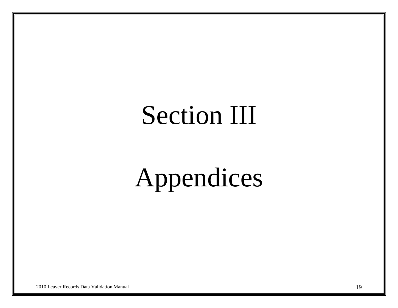## Section III

# Appendices

2010 Leaver Records Data Validation Manual 19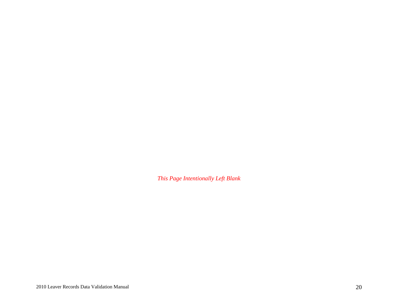*This Page Intentionally Left Blank*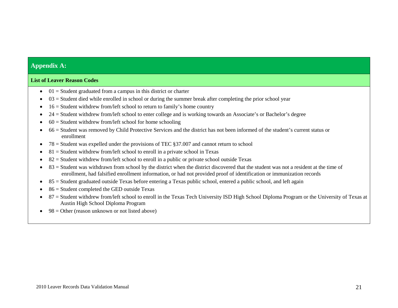#### **Appendix A:**

#### **List of Leaver Reason Codes**

- $\bullet$  01 = Student graduated from a campus in this district or charter
- $\bullet$  03 = Student died while enrolled in school or during the summer break after completing the prior school year
- $16 =$  Student withdrew from/left school to return to family's home country
- $\bullet$  24 = Student withdrew from/left school to enter college and is working towards an Associate's or Bachelor's degree
- $\bullet$  60 = Student withdrew from/left school for home schooling
- 66 = Student was removed by Child Protective Services and the district has not been informed of the student's current status or enrollment
- $78 =$  Student was expelled under the provisions of TEC §37.007 and cannot return to school
- $\bullet$  81 = Student withdrew from/left school to enroll in a private school in Texas
- 82 = Student withdrew from/left school to enroll in a public or private school outside Texas
- $\bullet$  83 = Student was withdrawn from school by the district when the district discovered that the student was not a resident at the time of enrollment, had falsified enrollment information, or had not provided proof of identification or immunization records
- 85 = Student graduated outside Texas before entering a Texas public school, entered a public school, and left again
- $\bullet$  86 = Student completed the GED outside Texas
- 87 = Student withdrew from/left school to enroll in the Texas Tech University ISD High School Diploma Program or the University of Texas at Austin High School Diploma Program
- 98 = Other (reason unknown or not listed above)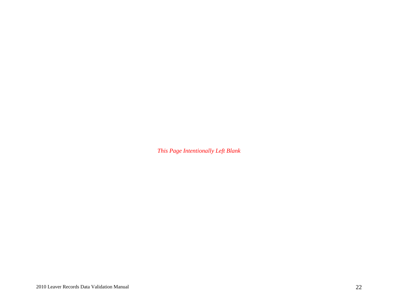*This Page Intentionally Left Blank*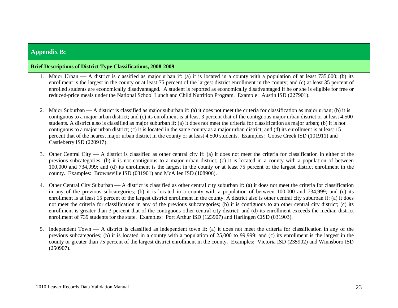#### **Appendix B:**

#### **Brief Descriptions of District Type Classifications, 2008-2009**

- 1. Major Urban A district is classified as major urban if: (a) it is located in a county with a population of at least 735,000; (b) its enrollment is the largest in the county or at least 75 percent of the largest district enrollment in the county; and (c) at least 35 percent of enrolled students are economically disadvantaged. A student is reported as economically disadvantaged if he or she is eligible for free or reduced-price meals under the National School Lunch and Child Nutrition Program. Example: Austin ISD (227901).
- 2. Major Suburban A district is classified as major suburban if: (a) it does not meet the criteria for classification as major urban; (b) it is contiguous to a major urban district; and (c) its enrollment is at least 3 percent that of the contiguous major urban district or at least 4,500 students. A district also is classified as major suburban if: (a) it does not meet the criteria for classification as major urban; (b) it is not contiguous to a major urban district; (c) it is located in the same county as a major urban district; and (d) its enrollment is at least 15 percent that of the nearest major urban district in the county or at least 4,500 students. Examples: Goose Creek ISD (101911) and Castleberry ISD (220917).
- 3. Other Central City  $A$  district is classified as other central city if: (a) it does not meet the criteria for classification in either of the previous subcategories; (b) it is not contiguous to a major urban district; (c) it is located in a county with a population of between 100,000 and 734,999; and (d) its enrollment is the largest in the county or at least 75 percent of the largest district enrollment in the county. Examples: Brownsville ISD (031901) and McAllen ISD (108906).
- 4. Other Central City Suburban A district is classified as other central city suburban if: (a) it does not meet the criteria for classification in any of the previous subcategories; (b) it is located in a county with a population of between 100,000 and 734,999; and (c) its enrollment is at least 15 percent of the largest district enrollment in the county. A district also is other central city suburban if: (a) it does not meet the criteria for classification in any of the previous subcategories; (b) it is contiguous to an other central city district; (c) its enrollment is greater than 3 percent that of the contiguous other central city district; and (d) its enrollment exceeds the median district enrollment of 739 students for the state. Examples: Port Arthur ISD (123907) and Harlingen CISD (031903).
- 5. Independent Town A district is classified as independent town if: (a) it does not meet the criteria for classification in any of the previous subcategories; (b) it is located in a county with a population of 25,000 to 99,999; and (c) its enrollment is the largest in the county or greater than 75 percent of the largest district enrollment in the county. Examples: Victoria ISD (235902) and Winnsboro ISD (250907).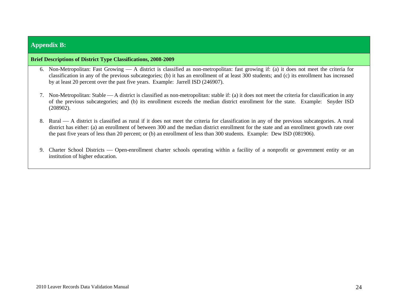#### **Appendix B:**

#### **Brief Descriptions of District Type Classifications, 2008-2009**

- 6. Non-Metropolitan: Fast Growing A district is classified as non-metropolitan: fast growing if: (a) it does not meet the criteria for classification in any of the previous subcategories; (b) it has an enrollment of at least 300 students; and (c) its enrollment has increased by at least 20 percent over the past five years. Example: Jarrell ISD (246907).
- 7. Non-Metropolitan: Stable A district is classified as non-metropolitan: stable if: (a) it does not meet the criteria for classification in any of the previous subcategories; and (b) its enrollment exceeds the median district enrollment for the state. Example: Snyder ISD (208902).
- 8. Rural A district is classified as rural if it does not meet the criteria for classification in any of the previous subcategories. A rural district has either: (a) an enrollment of between 300 and the median district enrollment for the state and an enrollment growth rate over the past five years of less than 20 percent; or (b) an enrollment of less than 300 students. Example: Dew ISD (081906).
- 9. Charter School Districts Open-enrollment charter schools operating within a facility of a nonprofit or government entity or an institution of higher education.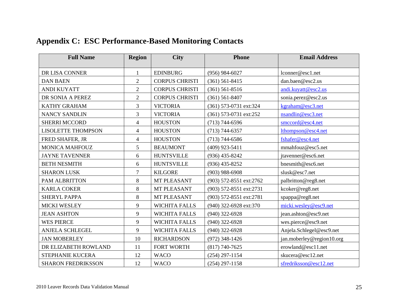| <b>Full Name</b>          | <b>Region</b>  | <b>City</b>           | <b>Phone</b>            | <b>Email Address</b>      |
|---------------------------|----------------|-----------------------|-------------------------|---------------------------|
| DR LISA CONNER            | $\mathbf{1}$   | <b>EDINBURG</b>       | $(956)$ 984-6027        | lconner@esc1.net          |
| <b>DAN BAEN</b>           | $\overline{2}$ | <b>CORPUS CHRISTI</b> | $(361) 561 - 8415$      | dan.baen@esc2.us          |
| <b>ANDI KUYATT</b>        | $\overline{2}$ | <b>CORPUS CHRISTI</b> | $(361) 561 - 8516$      | andi.kuyatt@esc2.us       |
| DR SONIA A PEREZ          | $\overline{2}$ | <b>CORPUS CHRISTI</b> | $(361) 561 - 8407$      | sonia.perez@esc2.us       |
| <b>KATHY GRAHAM</b>       | 3              | <b>VICTORIA</b>       | (361) 573-0731 ext:324  | kgraham@esc3.net          |
| <b>NANCY SANDLIN</b>      | 3              | <b>VICTORIA</b>       | (361) 573-0731 ext:252  | nsandlin@esc3.net         |
| <b>SHERRI MCCORD</b>      | $\overline{4}$ | <b>HOUSTON</b>        | $(713) 744 - 6596$      | smccord@esc4.net          |
| <b>LISOLETTE THOMPSON</b> | 4              | <b>HOUSTON</b>        | $(713) 744 - 6357$      | lthompson@esc4.net        |
| FRED SHAFER, JR           | $\overline{4}$ | <b>HOUSTON</b>        | $(713) 744 - 6586$      | fshafer@esc4.net          |
| <b>MONICA MAHFOUZ</b>     | 5              | <b>BEAUMONT</b>       | $(409)$ 923-5411        | mmahfouz@esc5.net         |
| <b>JAYNE TAVENNER</b>     | 6              | <b>HUNTSVILLE</b>     | $(936)$ 435-8242        | jtavenner@esc6.net        |
| <b>BETH NESMITH</b>       | 6              | <b>HUNTSVILLE</b>     | $(936)$ 435-8252        | bnesmith@esc6.net         |
| <b>SHARON LUSK</b>        | $\overline{7}$ | <b>KILGORE</b>        | $(903)$ 988-6908        | slusk@esc7.net            |
| PAM ALBRITTON             | 8              | MT PLEASANT           | (903) 572-8551 ext:2762 | palbritton@reg8.net       |
| <b>KARLA COKER</b>        | 8              | MT PLEASANT           | (903) 572-8551 ext:2731 | kcoker@reg8.net           |
| SHERYL PAPPA              | 8              | MT PLEASANT           | (903) 572-8551 ext:2781 | spappa@reg8.net           |
| <b>MICKI WESLEY</b>       | 9              | <b>WICHITA FALLS</b>  | (940) 322-6928 ext:370  | micki.wesley@esc9.net     |
| <b>JEAN ASHTON</b>        | 9              | <b>WICHITA FALLS</b>  | (940) 322-6928          | jean.ashton@esc9.net      |
| <b>WES PIERCE</b>         | 9              | <b>WICHITA FALLS</b>  | $(940)$ 322-6928        | wes.pierce@esc9.net       |
| <b>ANJELA SCHLEGEL</b>    | 9              | <b>WICHITA FALLS</b>  | $(940)$ 322-6928        | Anjela.Schlegel@esc9.net  |
| <b>JAN MOBERLEY</b>       | 10             | <b>RICHARDSON</b>     | $(972)$ 348-1426        | jan.moberley@region10.org |
| DR ELIZABETH ROWLAND      | 11             | FORT WORTH            | $(817) 740 - 7625$      | erowland@esc11.net        |
| STEPHANIE KUCERA          | 12             | <b>WACO</b>           | $(254) 297 - 1154$      | skucera@esc12.net         |
| <b>SHARON FREDRIKSSON</b> | 12             | <b>WACO</b>           | $(254) 297 - 1158$      | sfredriksson@esc12.net    |

## **Appendix C: ESC Performance-Based Monitoring Contacts**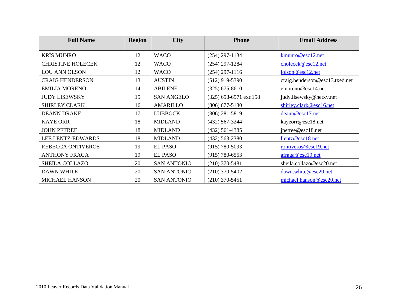| <b>Full Name</b>         | <b>Region</b> | <b>City</b>        | <b>Phone</b>           | <b>Email Address</b>           |
|--------------------------|---------------|--------------------|------------------------|--------------------------------|
| <b>KRIS MUNRO</b>        | 12            | <b>WACO</b>        | $(254)$ 297-1134       | kmunro@esc12.net               |
| <b>CHRISTINE HOLECEK</b> | 12            | <b>WACO</b>        | $(254)$ 297-1284       | cholecek@esc12.net             |
| LOU ANN OLSON            | 12            | <b>WACO</b>        | $(254)$ 297-1116       | lolson@esc12.net               |
| <b>CRAIG HENDERSON</b>   | 13            | <b>AUSTIN</b>      | $(512)$ 919-5390       | craig.henderson@esc13.txed.net |
| <b>EMILIA MORENO</b>     | 14            | <b>ABILENE</b>     | $(325)$ 675-8610       | emoreno@esc14.net              |
| <b>JUDY LISEWSKY</b>     | 15            | <b>SAN ANGELO</b>  | (325) 658-6571 ext:158 | judy.lisewsky@netxv.net        |
| <b>SHIRLEY CLARK</b>     | 16            | <b>AMARILLO</b>    | $(806)$ 677-5130       | shirley.clark@esc16.net        |
| <b>DEANN DRAKE</b>       | 17            | <b>LUBBOCK</b>     | $(806)$ 281-5819       | deann@esc17.net                |
| <b>KAYE ORR</b>          | 18            | <b>MIDLAND</b>     | (432) 567-3244         | kayeorr@esc18.net              |
| <b>JOHN PETREE</b>       | 18            | <b>MIDLAND</b>     | (432) 561-4385         | jpetree@esc18.net              |
| <b>LEE LENTZ-EDWARDS</b> | 18            | <b>MIDLAND</b>     | (432) 563-2380         | llentz@esc18.net               |
| <b>REBECCA ONTIVEROS</b> | 19            | <b>EL PASO</b>     | $(915) 780 - 5093$     | rontiveros@esc19.net           |
| <b>ANTHONY FRAGA</b>     | 19            | <b>EL PASO</b>     | $(915) 780 - 6553$     | afraga@esc19.net               |
| SHEILA COLLAZO           | 20            | <b>SAN ANTONIO</b> | $(210)$ 370-5481       | sheila.collazo@esc20.net       |
| <b>DAWN WHITE</b>        | 20            | <b>SAN ANTONIO</b> | $(210)$ 370-5402       | dawn.white@esc20.net           |
| <b>MICHAEL HANSON</b>    | 20            | <b>SAN ANTONIO</b> | $(210)$ 370-5451       | michael.hanson@esc20.net       |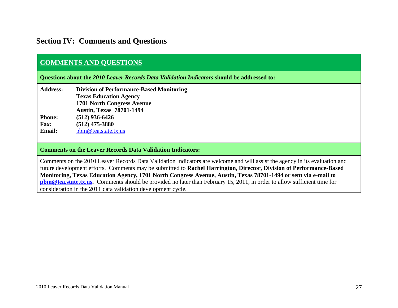## **Section IV: Comments and Questions**

| <b>COMMENTS AND QUESTIONS</b>                 |                                                                                                                                                   |  |
|-----------------------------------------------|---------------------------------------------------------------------------------------------------------------------------------------------------|--|
|                                               | Questions about the 2010 Leaver Records Data Validation Indicators should be addressed to:                                                        |  |
| <b>Address:</b>                               | <b>Division of Performance-Based Monitoring</b><br><b>Texas Education Agency</b><br>1701 North Congress Avenue<br><b>Austin, Texas 78701-1494</b> |  |
| <b>Phone:</b><br><b>Fax:</b><br><b>Email:</b> | $(512)$ 936-6426<br>$(512)$ 475-3880<br>pbm@tea.state.tx.us                                                                                       |  |
|                                               |                                                                                                                                                   |  |

#### **Comments on the Leaver Records Data Validation Indicators:**

Comments on the 2010 Leaver Records Data Validation Indicators are welcome and will assist the agency in its evaluation and future development efforts. Comments may be submitted to **Rachel Harrington, Director, Division of Performance-Based Monitoring, Texas Education Agency, 1701 North Congress Avenue, Austin, Texas 78701-1494 or sent via e-mail to [pbm@tea.state.tx.us.](mailto:pbm@tea.state.tx.us)** Comments should be provided no later than February 15, 2011, in order to allow sufficient time for consideration in the 2011 data validation development cycle.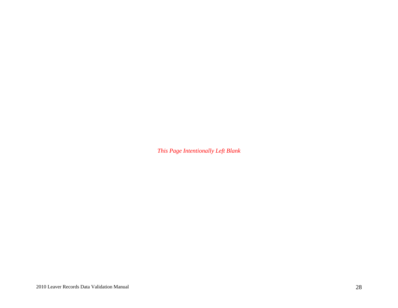*This Page Intentionally Left Blank*